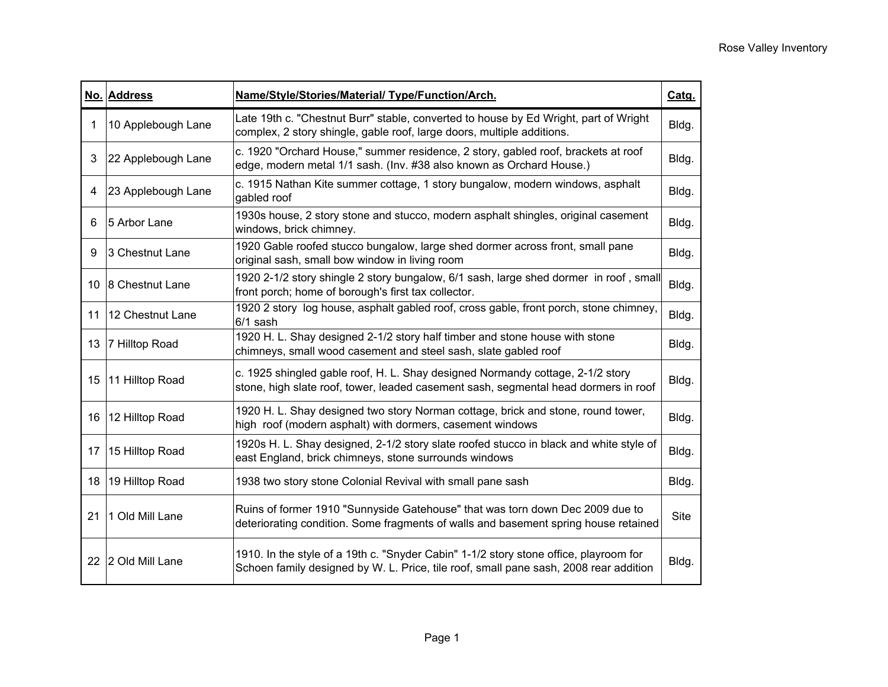|    | No. Address        | Name/Style/Stories/Material/ Type/Function/Arch.                                                                                                                               | Catg. |
|----|--------------------|--------------------------------------------------------------------------------------------------------------------------------------------------------------------------------|-------|
| 1  | 10 Applebough Lane | Late 19th c. "Chestnut Burr" stable, converted to house by Ed Wright, part of Wright<br>complex, 2 story shingle, gable roof, large doors, multiple additions.                 | Bldg. |
| 3  | 22 Applebough Lane | c. 1920 "Orchard House," summer residence, 2 story, gabled roof, brackets at roof<br>edge, modern metal 1/1 sash. (Inv. #38 also known as Orchard House.)                      | Bldg. |
| 4  | 23 Applebough Lane | c. 1915 Nathan Kite summer cottage, 1 story bungalow, modern windows, asphalt<br>gabled roof                                                                                   | Bldg. |
| 6  | 5 Arbor Lane       | 1930s house, 2 story stone and stucco, modern asphalt shingles, original casement<br>windows, brick chimney.                                                                   | Bldg. |
| 9  | 3 Chestnut Lane    | 1920 Gable roofed stucco bungalow, large shed dormer across front, small pane<br>original sash, small bow window in living room                                                | Bldg. |
| 10 | 8 Chestnut Lane    | 1920 2-1/2 story shingle 2 story bungalow, 6/1 sash, large shed dormer in roof, small<br>front porch; home of borough's first tax collector.                                   | Bldg. |
| 11 | 12 Chestnut Lane   | 1920 2 story log house, asphalt gabled roof, cross gable, front porch, stone chimney,<br>$6/1$ sash                                                                            | Bldg. |
| 13 | 7 Hilltop Road     | 1920 H. L. Shay designed 2-1/2 story half timber and stone house with stone<br>chimneys, small wood casement and steel sash, slate gabled roof                                 | Bldg. |
| 15 | 11 Hilltop Road    | c. 1925 shingled gable roof, H. L. Shay designed Normandy cottage, 2-1/2 story<br>stone, high slate roof, tower, leaded casement sash, segmental head dormers in roof          | Bldg. |
| 16 | 12 Hilltop Road    | 1920 H. L. Shay designed two story Norman cottage, brick and stone, round tower,<br>high roof (modern asphalt) with dormers, casement windows                                  | Bldg. |
| 17 | 15 Hilltop Road    | 1920s H. L. Shay designed, 2-1/2 story slate roofed stucco in black and white style of<br>east England, brick chimneys, stone surrounds windows                                | Bldg. |
| 18 | 19 Hilltop Road    | 1938 two story stone Colonial Revival with small pane sash                                                                                                                     | Bldg. |
| 21 | 1 Old Mill Lane    | Ruins of former 1910 "Sunnyside Gatehouse" that was torn down Dec 2009 due to<br>deteriorating condition. Some fragments of walls and basement spring house retained           | Site  |
| 22 | 2 Old Mill Lane    | 1910. In the style of a 19th c. "Snyder Cabin" 1-1/2 story stone office, playroom for<br>Schoen family designed by W. L. Price, tile roof, small pane sash, 2008 rear addition | Bldg. |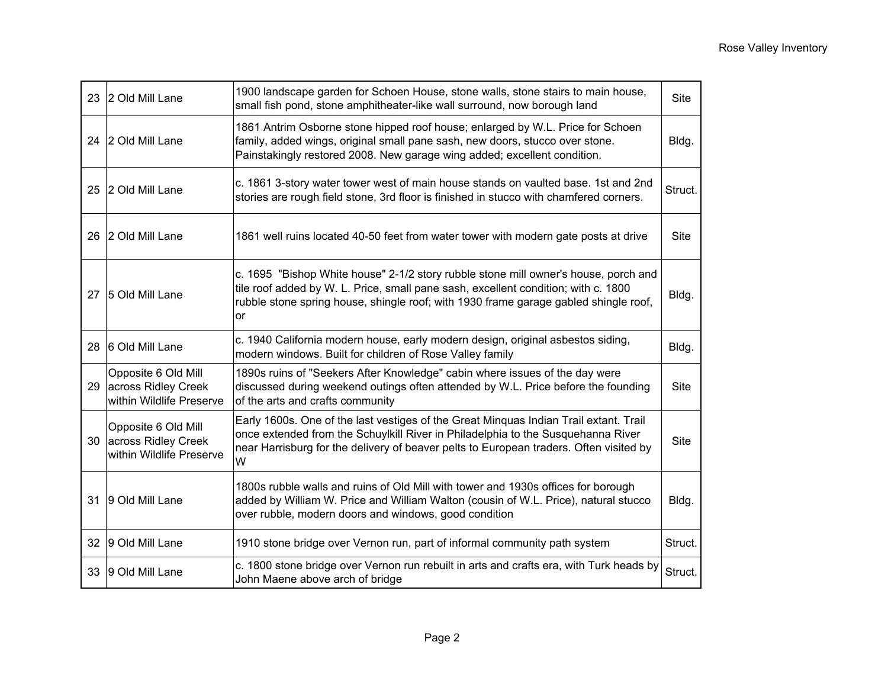|    | 23 2 Old Mill Lane                                                        | 1900 landscape garden for Schoen House, stone walls, stone stairs to main house,<br>small fish pond, stone amphitheater-like wall surround, now borough land                                                                                                             | <b>Site</b> |
|----|---------------------------------------------------------------------------|--------------------------------------------------------------------------------------------------------------------------------------------------------------------------------------------------------------------------------------------------------------------------|-------------|
|    | 24 2 Old Mill Lane                                                        | 1861 Antrim Osborne stone hipped roof house; enlarged by W.L. Price for Schoen<br>family, added wings, original small pane sash, new doors, stucco over stone.<br>Painstakingly restored 2008. New garage wing added; excellent condition.                               | Bldg.       |
|    | 25 2 Old Mill Lane                                                        | c. 1861 3-story water tower west of main house stands on vaulted base. 1st and 2nd<br>stories are rough field stone, 3rd floor is finished in stucco with chamfered corners.                                                                                             | Struct.     |
|    | 26 2 Old Mill Lane                                                        | 1861 well ruins located 40-50 feet from water tower with modern gate posts at drive                                                                                                                                                                                      | Site        |
|    | 27 5 Old Mill Lane                                                        | c. 1695 "Bishop White house" 2-1/2 story rubble stone mill owner's house, porch and<br>tile roof added by W. L. Price, small pane sash, excellent condition; with c. 1800<br>rubble stone spring house, shingle roof; with 1930 frame garage gabled shingle roof,<br>or  | Bldg.       |
| 28 | 6 Old Mill Lane                                                           | c. 1940 California modern house, early modern design, original asbestos siding,<br>modern windows. Built for children of Rose Valley family                                                                                                                              | Bldg.       |
| 29 | Opposite 6 Old Mill<br>across Ridley Creek<br>within Wildlife Preserve    | 1890s ruins of "Seekers After Knowledge" cabin where issues of the day were<br>discussed during weekend outings often attended by W.L. Price before the founding<br>of the arts and crafts community                                                                     | <b>Site</b> |
|    | Opposite 6 Old Mill<br>30 across Ridley Creek<br>within Wildlife Preserve | Early 1600s. One of the last vestiges of the Great Minquas Indian Trail extant. Trail<br>once extended from the Schuylkill River in Philadelphia to the Susquehanna River<br>near Harrisburg for the delivery of beaver pelts to European traders. Often visited by<br>W | Site        |
| 31 | 9 Old Mill Lane                                                           | 1800s rubble walls and ruins of Old Mill with tower and 1930s offices for borough<br>added by William W. Price and William Walton (cousin of W.L. Price), natural stucco<br>over rubble, modern doors and windows, good condition                                        | Bldg.       |
|    | 32 9 Old Mill Lane                                                        | 1910 stone bridge over Vernon run, part of informal community path system                                                                                                                                                                                                | Struct.     |
| 33 | 9 Old Mill Lane                                                           | c. 1800 stone bridge over Vernon run rebuilt in arts and crafts era, with Turk heads by<br>John Maene above arch of bridge                                                                                                                                               | Struct.     |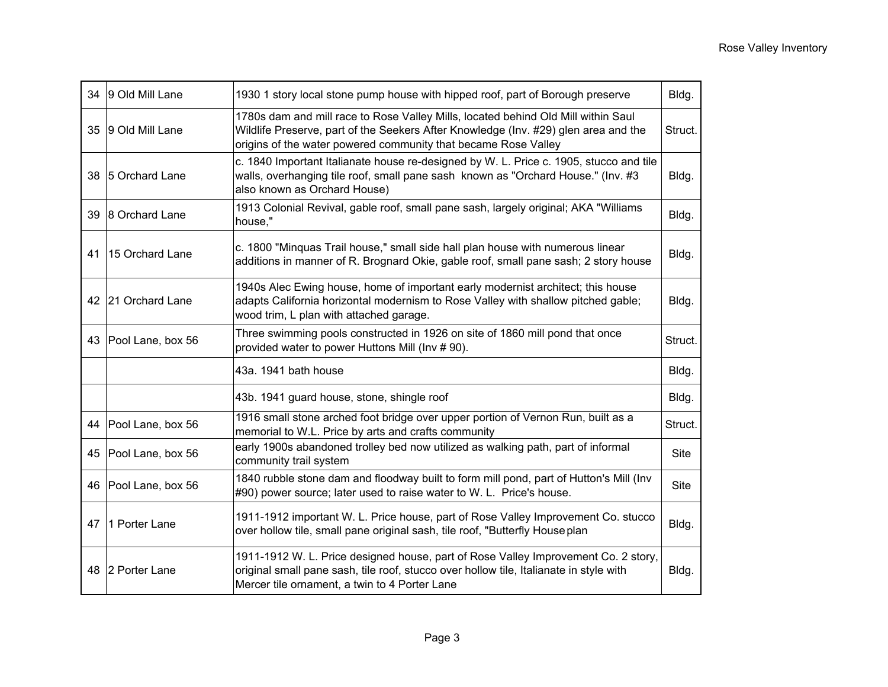| 34 | 9 Old Mill Lane      | 1930 1 story local stone pump house with hipped roof, part of Borough preserve                                                                                                                                                             | Bldg.   |
|----|----------------------|--------------------------------------------------------------------------------------------------------------------------------------------------------------------------------------------------------------------------------------------|---------|
| 35 | 9 Old Mill Lane      | 1780s dam and mill race to Rose Valley Mills, located behind Old Mill within Saul<br>Wildlife Preserve, part of the Seekers After Knowledge (Inv. #29) glen area and the<br>origins of the water powered community that became Rose Valley | Struct. |
| 38 | 5 Orchard Lane       | c. 1840 Important Italianate house re-designed by W. L. Price c. 1905, stucco and tile<br>walls, overhanging tile roof, small pane sash known as "Orchard House." (Inv. #3<br>also known as Orchard House)                                 | Bldg.   |
| 39 | 8 Orchard Lane       | 1913 Colonial Revival, gable roof, small pane sash, largely original; AKA "Williams<br>house,"                                                                                                                                             | Bldg.   |
| 41 | 15 Orchard Lane      | c. 1800 "Minquas Trail house," small side hall plan house with numerous linear<br>additions in manner of R. Brognard Okie, gable roof, small pane sash; 2 story house                                                                      | Bldg.   |
|    | 42 21 Orchard Lane   | 1940s Alec Ewing house, home of important early modernist architect; this house<br>adapts California horizontal modernism to Rose Valley with shallow pitched gable;<br>wood trim, L plan with attached garage.                            | Bldg.   |
| 43 | Pool Lane, box 56    | Three swimming pools constructed in 1926 on site of 1860 mill pond that once<br>provided water to power Huttons Mill (Inv #90).                                                                                                            | Struct. |
|    |                      | 43a. 1941 bath house                                                                                                                                                                                                                       | Bldg.   |
|    |                      | 43b. 1941 guard house, stone, shingle roof                                                                                                                                                                                                 | Bldg.   |
|    | 44 Pool Lane, box 56 | 1916 small stone arched foot bridge over upper portion of Vernon Run, built as a<br>memorial to W.L. Price by arts and crafts community                                                                                                    | Struct. |
| 45 | Pool Lane, box 56    | early 1900s abandoned trolley bed now utilized as walking path, part of informal<br>community trail system                                                                                                                                 | Site    |
|    | 46 Pool Lane, box 56 | 1840 rubble stone dam and floodway built to form mill pond, part of Hutton's Mill (Inv<br>#90) power source; later used to raise water to W. L. Price's house.                                                                             | Site    |
| 47 | 1 Porter Lane        | 1911-1912 important W. L. Price house, part of Rose Valley Improvement Co. stucco<br>over hollow tile, small pane original sash, tile roof, "Butterfly House plan                                                                          | Bldg.   |
| 48 | 2 Porter Lane        | 1911-1912 W. L. Price designed house, part of Rose Valley Improvement Co. 2 story,<br>original small pane sash, tile roof, stucco over hollow tile, Italianate in style with<br>Mercer tile ornament, a twin to 4 Porter Lane              | Bldg.   |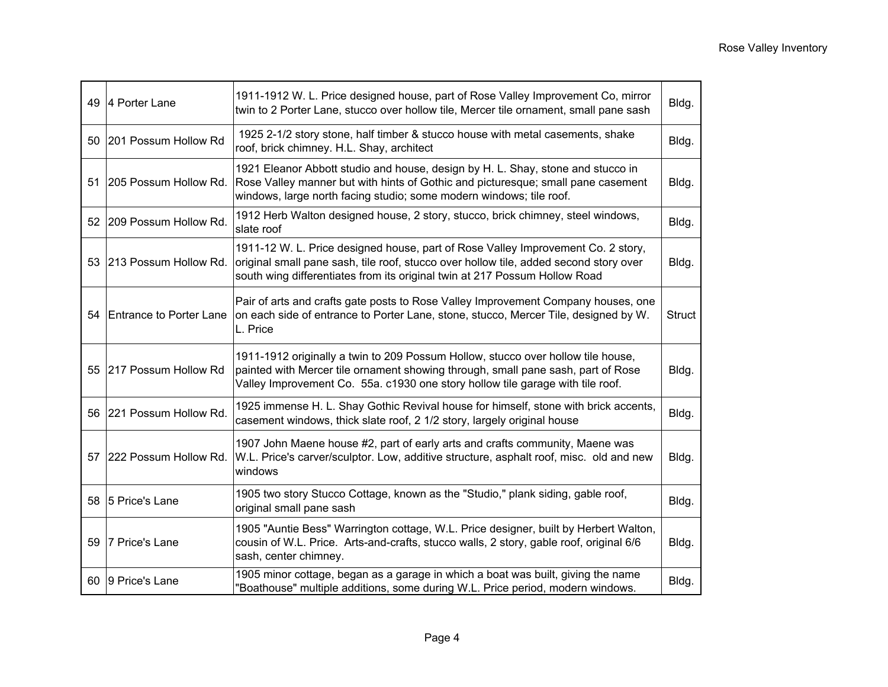|    | 49 4 Porter Lane           | 1911-1912 W. L. Price designed house, part of Rose Valley Improvement Co, mirror<br>twin to 2 Porter Lane, stucco over hollow tile, Mercer tile ornament, small pane sash                                                                               | Bldg.         |
|----|----------------------------|---------------------------------------------------------------------------------------------------------------------------------------------------------------------------------------------------------------------------------------------------------|---------------|
|    | 50 201 Possum Hollow Rd    | 1925 2-1/2 story stone, half timber & stucco house with metal casements, shake<br>roof, brick chimney. H.L. Shay, architect                                                                                                                             | Bldg.         |
| 51 | 205 Possum Hollow Rd.      | 1921 Eleanor Abbott studio and house, design by H. L. Shay, stone and stucco in<br>Rose Valley manner but with hints of Gothic and picturesque; small pane casement<br>windows, large north facing studio; some modern windows; tile roof.              | Bldg.         |
|    | 52 209 Possum Hollow Rd.   | 1912 Herb Walton designed house, 2 story, stucco, brick chimney, steel windows,<br>slate roof                                                                                                                                                           | Bldg.         |
|    | 53 213 Possum Hollow Rd.   | 1911-12 W. L. Price designed house, part of Rose Valley Improvement Co. 2 story,<br>original small pane sash, tile roof, stucco over hollow tile, added second story over<br>south wing differentiates from its original twin at 217 Possum Hollow Road | Bldg.         |
|    | 54 Entrance to Porter Lane | Pair of arts and crafts gate posts to Rose Valley Improvement Company houses, one<br>on each side of entrance to Porter Lane, stone, stucco, Mercer Tile, designed by W.<br>L. Price                                                                    | <b>Struct</b> |
|    | 55 217 Possum Hollow Rd    | 1911-1912 originally a twin to 209 Possum Hollow, stucco over hollow tile house,<br>painted with Mercer tile ornament showing through, small pane sash, part of Rose<br>Valley Improvement Co. 55a. c1930 one story hollow tile garage with tile roof.  | Bldg.         |
|    | 56 221 Possum Hollow Rd.   | 1925 immense H. L. Shay Gothic Revival house for himself, stone with brick accents,<br>casement windows, thick slate roof, 2 1/2 story, largely original house                                                                                          | Bldg.         |
|    | 57 222 Possum Hollow Rd.   | 1907 John Maene house #2, part of early arts and crafts community, Maene was<br>W.L. Price's carver/sculptor. Low, additive structure, asphalt roof, misc. old and new<br>windows                                                                       | Bldg.         |
|    | 58 5 Price's Lane          | 1905 two story Stucco Cottage, known as the "Studio," plank siding, gable roof,<br>original small pane sash                                                                                                                                             | Bldg.         |
|    | 59 7 Price's Lane          | 1905 "Auntie Bess" Warrington cottage, W.L. Price designer, built by Herbert Walton,<br>cousin of W.L. Price. Arts-and-crafts, stucco walls, 2 story, gable roof, original 6/6<br>sash, center chimney.                                                 | Bldg.         |
|    | 60 9 Price's Lane          | 1905 minor cottage, began as a garage in which a boat was built, giving the name<br>"Boathouse" multiple additions, some during W.L. Price period, modern windows.                                                                                      | Bldg.         |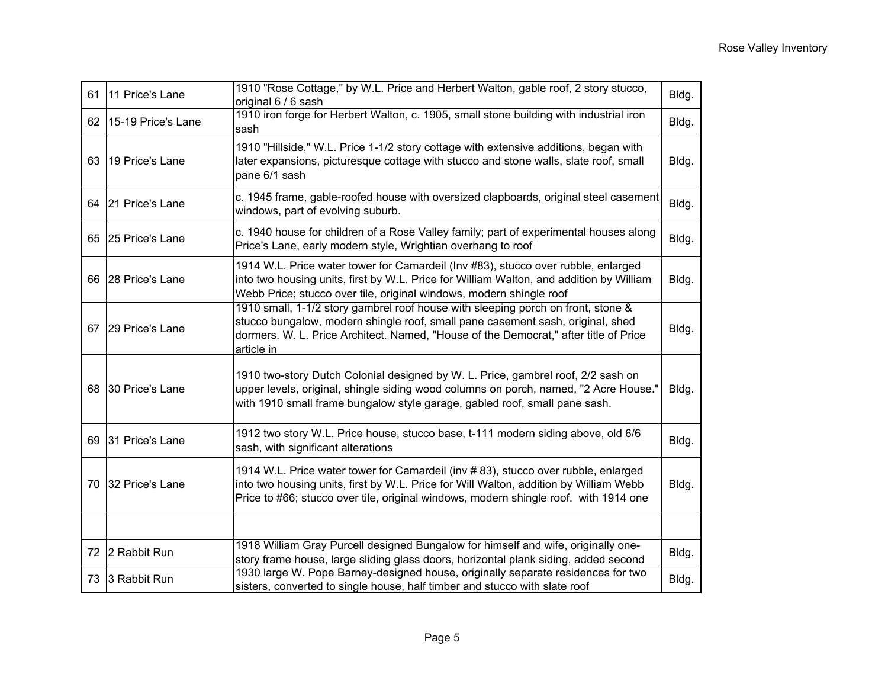| 61 | 11 Price's Lane    | 1910 "Rose Cottage," by W.L. Price and Herbert Walton, gable roof, 2 story stucco,<br>original 6 / 6 sash                                                                                                                                                                | Bldg. |
|----|--------------------|--------------------------------------------------------------------------------------------------------------------------------------------------------------------------------------------------------------------------------------------------------------------------|-------|
| 62 | 15-19 Price's Lane | 1910 iron forge for Herbert Walton, c. 1905, small stone building with industrial iron<br>sash                                                                                                                                                                           | Bldg. |
| 63 | 19 Price's Lane    | 1910 "Hillside," W.L. Price 1-1/2 story cottage with extensive additions, began with<br>later expansions, picturesque cottage with stucco and stone walls, slate roof, small<br>pane 6/1 sash                                                                            | Bldg. |
|    | 64 21 Price's Lane | c. 1945 frame, gable-roofed house with oversized clapboards, original steel casement<br>windows, part of evolving suburb.                                                                                                                                                | Bldg. |
| 65 | 25 Price's Lane    | c. 1940 house for children of a Rose Valley family; part of experimental houses along<br>Price's Lane, early modern style, Wrightian overhang to roof                                                                                                                    | Bldg. |
|    | 66 28 Price's Lane | 1914 W.L. Price water tower for Camardeil (Inv #83), stucco over rubble, enlarged<br>into two housing units, first by W.L. Price for William Walton, and addition by William<br>Webb Price; stucco over tile, original windows, modern shingle roof                      | Bldg. |
| 67 | 29 Price's Lane    | 1910 small, 1-1/2 story gambrel roof house with sleeping porch on front, stone &<br>stucco bungalow, modern shingle roof, small pane casement sash, original, shed<br>dormers. W. L. Price Architect. Named, "House of the Democrat," after title of Price<br>article in | Bldg. |
|    | 68 30 Price's Lane | 1910 two-story Dutch Colonial designed by W. L. Price, gambrel roof, 2/2 sash on<br>upper levels, original, shingle siding wood columns on porch, named, "2 Acre House."<br>with 1910 small frame bungalow style garage, gabled roof, small pane sash.                   | Bldg. |
| 69 | 31 Price's Lane    | 1912 two story W.L. Price house, stucco base, t-111 modern siding above, old 6/6<br>sash, with significant alterations                                                                                                                                                   | Bldg. |
| 70 | 32 Price's Lane    | 1914 W.L. Price water tower for Camardeil (inv #83), stucco over rubble, enlarged<br>into two housing units, first by W.L. Price for Will Walton, addition by William Webb<br>Price to #66; stucco over tile, original windows, modern shingle roof. with 1914 one       | Bldg. |
|    |                    |                                                                                                                                                                                                                                                                          |       |
|    | 72 2 Rabbit Run    | 1918 William Gray Purcell designed Bungalow for himself and wife, originally one-<br>story frame house, large sliding glass doors, horizontal plank siding, added second                                                                                                 | Bldg. |
| 73 | 3 Rabbit Run       | 1930 large W. Pope Barney-designed house, originally separate residences for two<br>sisters, converted to single house, half timber and stucco with slate roof                                                                                                           | Bldg. |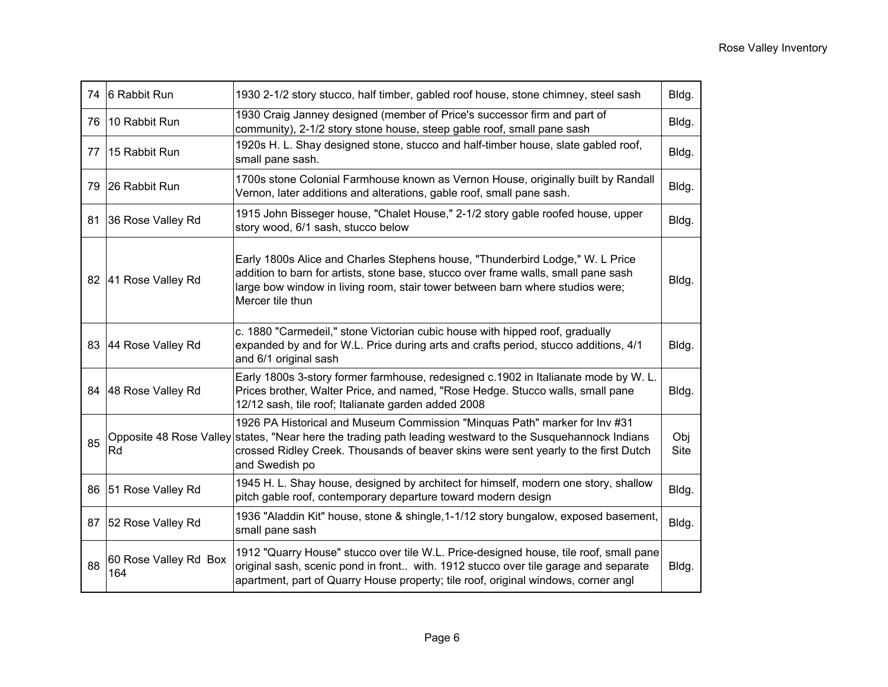| 74 | 6 Rabbit Run                 | 1930 2-1/2 story stucco, half timber, gabled roof house, stone chimney, steel sash                                                                                                                                                                                                               | Bldg.              |
|----|------------------------------|--------------------------------------------------------------------------------------------------------------------------------------------------------------------------------------------------------------------------------------------------------------------------------------------------|--------------------|
| 76 | 10 Rabbit Run                | 1930 Craig Janney designed (member of Price's successor firm and part of<br>community), 2-1/2 story stone house, steep gable roof, small pane sash                                                                                                                                               | Bldg.              |
| 77 | 15 Rabbit Run                | 1920s H. L. Shay designed stone, stucco and half-timber house, slate gabled roof,<br>small pane sash.                                                                                                                                                                                            | Bldg.              |
| 79 | 26 Rabbit Run                | 1700s stone Colonial Farmhouse known as Vernon House, originally built by Randall<br>Vernon, later additions and alterations, gable roof, small pane sash.                                                                                                                                       | Bldg.              |
| 81 | 36 Rose Valley Rd            | 1915 John Bisseger house, "Chalet House," 2-1/2 story gable roofed house, upper<br>story wood, 6/1 sash, stucco below                                                                                                                                                                            | Bldg.              |
|    | 82 41 Rose Valley Rd         | Early 1800s Alice and Charles Stephens house, "Thunderbird Lodge," W. L Price<br>addition to barn for artists, stone base, stucco over frame walls, small pane sash<br>large bow window in living room, stair tower between barn where studios were;<br>Mercer tile thun                         | Bldg.              |
|    | 83 44 Rose Valley Rd         | c. 1880 "Carmedeil," stone Victorian cubic house with hipped roof, gradually<br>expanded by and for W.L. Price during arts and crafts period, stucco additions, 4/1<br>and 6/1 original sash                                                                                                     | Bldg.              |
|    | 84 48 Rose Valley Rd         | Early 1800s 3-story former farmhouse, redesigned c.1902 in Italianate mode by W. L.<br>Prices brother, Walter Price, and named, "Rose Hedge. Stucco walls, small pane<br>12/12 sash, tile roof; Italianate garden added 2008                                                                     | Bldg.              |
| 85 | Rd                           | 1926 PA Historical and Museum Commission "Minquas Path" marker for Inv #31<br>Opposite 48 Rose Valley states, "Near here the trading path leading westward to the Susquehannock Indians<br>crossed Ridley Creek. Thousands of beaver skins were sent yearly to the first Dutch<br>and Swedish po | Obj<br><b>Site</b> |
| 86 | 51 Rose Valley Rd            | 1945 H. L. Shay house, designed by architect for himself, modern one story, shallow<br>pitch gable roof, contemporary departure toward modern design                                                                                                                                             | Bldg.              |
|    | 87 52 Rose Valley Rd         | 1936 "Aladdin Kit" house, stone & shingle, 1-1/12 story bungalow, exposed basement,<br>small pane sash                                                                                                                                                                                           | Bldg.              |
| 88 | 60 Rose Valley Rd Box<br>164 | 1912 "Quarry House" stucco over tile W.L. Price-designed house, tile roof, small pane<br>original sash, scenic pond in front with. 1912 stucco over tile garage and separate<br>apartment, part of Quarry House property; tile roof, original windows, corner angl                               | Bldg.              |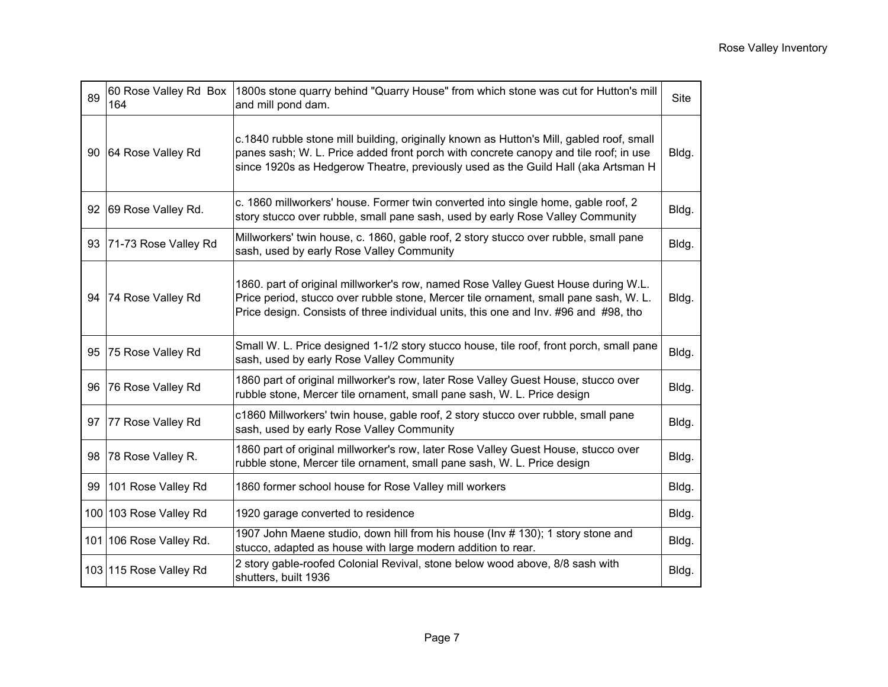| 89 | 60 Rose Valley Rd Box<br>164 | 1800s stone quarry behind "Quarry House" from which stone was cut for Hutton's mill<br>and mill pond dam.                                                                                                                                                             | <b>Site</b> |
|----|------------------------------|-----------------------------------------------------------------------------------------------------------------------------------------------------------------------------------------------------------------------------------------------------------------------|-------------|
| 90 | 64 Rose Valley Rd            | c.1840 rubble stone mill building, originally known as Hutton's Mill, gabled roof, small<br>panes sash; W. L. Price added front porch with concrete canopy and tile roof; in use<br>since 1920s as Hedgerow Theatre, previously used as the Guild Hall (aka Artsman H | Bldg.       |
| 92 | 69 Rose Valley Rd.           | c. 1860 millworkers' house. Former twin converted into single home, gable roof, 2<br>story stucco over rubble, small pane sash, used by early Rose Valley Community                                                                                                   | Bldg.       |
| 93 | 71-73 Rose Valley Rd         | Millworkers' twin house, c. 1860, gable roof, 2 story stucco over rubble, small pane<br>sash, used by early Rose Valley Community                                                                                                                                     | Bldg.       |
| 94 | 74 Rose Valley Rd            | 1860. part of original millworker's row, named Rose Valley Guest House during W.L.<br>Price period, stucco over rubble stone, Mercer tile ornament, small pane sash, W. L.<br>Price design. Consists of three individual units, this one and Inv. #96 and #98, tho    | Bldg.       |
| 95 | 75 Rose Valley Rd            | Small W. L. Price designed 1-1/2 story stucco house, tile roof, front porch, small pane<br>sash, used by early Rose Valley Community                                                                                                                                  | Bldg.       |
| 96 | 76 Rose Valley Rd            | 1860 part of original millworker's row, later Rose Valley Guest House, stucco over<br>rubble stone, Mercer tile ornament, small pane sash, W. L. Price design                                                                                                         | Bldg.       |
| 97 | 77 Rose Valley Rd            | c1860 Millworkers' twin house, gable roof, 2 story stucco over rubble, small pane<br>sash, used by early Rose Valley Community                                                                                                                                        | Bldg.       |
| 98 | 78 Rose Valley R.            | 1860 part of original millworker's row, later Rose Valley Guest House, stucco over<br>rubble stone, Mercer tile ornament, small pane sash, W. L. Price design                                                                                                         | Bldg.       |
| 99 | 101 Rose Valley Rd           | 1860 former school house for Rose Valley mill workers                                                                                                                                                                                                                 | Bldg.       |
|    | 100 103 Rose Valley Rd       | 1920 garage converted to residence                                                                                                                                                                                                                                    | Bldg.       |
|    | 101 106 Rose Valley Rd.      | 1907 John Maene studio, down hill from his house (Inv # 130); 1 story stone and<br>stucco, adapted as house with large modern addition to rear.                                                                                                                       | Bldg.       |
|    | 103 115 Rose Valley Rd       | 2 story gable-roofed Colonial Revival, stone below wood above, 8/8 sash with<br>shutters, built 1936                                                                                                                                                                  | Bldg.       |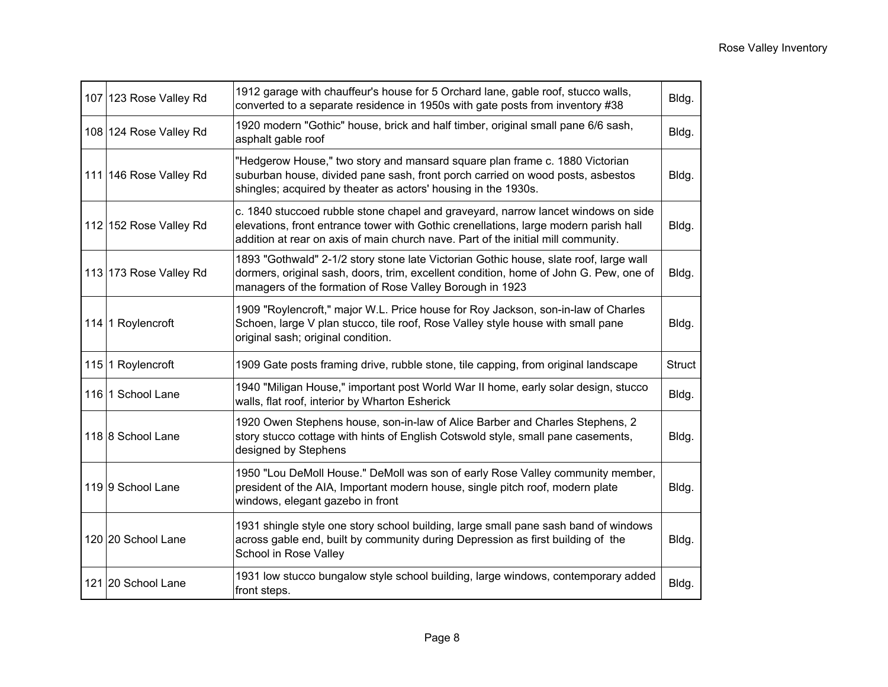| 107 123 Rose Valley Rd | 1912 garage with chauffeur's house for 5 Orchard lane, gable roof, stucco walls,<br>converted to a separate residence in 1950s with gate posts from inventory #38                                                                                              | Bldg.         |
|------------------------|----------------------------------------------------------------------------------------------------------------------------------------------------------------------------------------------------------------------------------------------------------------|---------------|
| 108 124 Rose Valley Rd | 1920 modern "Gothic" house, brick and half timber, original small pane 6/6 sash,<br>asphalt gable roof                                                                                                                                                         | Bldg.         |
| 111 146 Rose Valley Rd | "Hedgerow House," two story and mansard square plan frame c. 1880 Victorian<br>suburban house, divided pane sash, front porch carried on wood posts, asbestos<br>shingles; acquired by theater as actors' housing in the 1930s.                                | Bldg.         |
| 112 152 Rose Valley Rd | c. 1840 stuccoed rubble stone chapel and graveyard, narrow lancet windows on side<br>elevations, front entrance tower with Gothic crenellations, large modern parish hall<br>addition at rear on axis of main church nave. Part of the initial mill community. | Bldg.         |
| 113 173 Rose Valley Rd | 1893 "Gothwald" 2-1/2 story stone late Victorian Gothic house, slate roof, large wall<br>dormers, original sash, doors, trim, excellent condition, home of John G. Pew, one of<br>managers of the formation of Rose Valley Borough in 1923                     | Bldg.         |
| 114 1 Roylencroft      | 1909 "Roylencroft," major W.L. Price house for Roy Jackson, son-in-law of Charles<br>Schoen, large V plan stucco, tile roof, Rose Valley style house with small pane<br>original sash; original condition.                                                     | Bldg.         |
| 115 1 Roylencroft      | 1909 Gate posts framing drive, rubble stone, tile capping, from original landscape                                                                                                                                                                             | <b>Struct</b> |
| 116 1 School Lane      | 1940 "Miligan House," important post World War II home, early solar design, stucco<br>walls, flat roof, interior by Wharton Esherick                                                                                                                           | Bldg.         |
| 118 8 School Lane      | 1920 Owen Stephens house, son-in-law of Alice Barber and Charles Stephens, 2<br>story stucco cottage with hints of English Cotswold style, small pane casements,<br>designed by Stephens                                                                       | Bldg.         |
| 119 9 School Lane      | 1950 "Lou DeMoll House." DeMoll was son of early Rose Valley community member,<br>president of the AIA, Important modern house, single pitch roof, modern plate<br>windows, elegant gazebo in front                                                            | Bldg.         |
| 120 20 School Lane     | 1931 shingle style one story school building, large small pane sash band of windows<br>across gable end, built by community during Depression as first building of the<br>School in Rose Valley                                                                | Bldg.         |
| 121 20 School Lane     | 1931 low stucco bungalow style school building, large windows, contemporary added<br>front steps.                                                                                                                                                              | Bldg.         |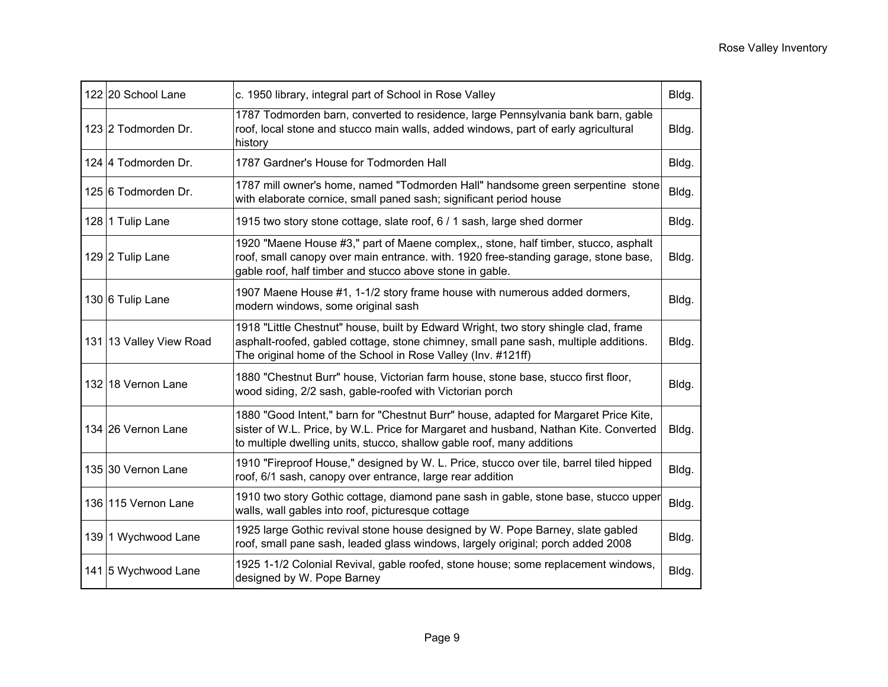| 122 20 School Lane      | c. 1950 library, integral part of School in Rose Valley                                                                                                                                                                                                | Bldg. |
|-------------------------|--------------------------------------------------------------------------------------------------------------------------------------------------------------------------------------------------------------------------------------------------------|-------|
| 123 2 Todmorden Dr.     | 1787 Todmorden barn, converted to residence, large Pennsylvania bank barn, gable<br>roof, local stone and stucco main walls, added windows, part of early agricultural<br>history                                                                      | Bldg. |
| 124 4 Todmorden Dr.     | 1787 Gardner's House for Todmorden Hall                                                                                                                                                                                                                | Bldg. |
| 125 6 Todmorden Dr.     | 1787 mill owner's home, named "Todmorden Hall" handsome green serpentine stone<br>with elaborate cornice, small paned sash; significant period house                                                                                                   | Bldg. |
| 128 1 Tulip Lane        | 1915 two story stone cottage, slate roof, 6 / 1 sash, large shed dormer                                                                                                                                                                                | Bldg. |
| 129 2 Tulip Lane        | 1920 "Maene House #3," part of Maene complex,, stone, half timber, stucco, asphalt<br>roof, small canopy over main entrance. with. 1920 free-standing garage, stone base,<br>gable roof, half timber and stucco above stone in gable.                  | Bldg. |
| 130 6 Tulip Lane        | 1907 Maene House #1, 1-1/2 story frame house with numerous added dormers,<br>modern windows, some original sash                                                                                                                                        | Bldg. |
| 131 13 Valley View Road | 1918 "Little Chestnut" house, built by Edward Wright, two story shingle clad, frame<br>asphalt-roofed, gabled cottage, stone chimney, small pane sash, multiple additions.<br>The original home of the School in Rose Valley (Inv. #121ff)             | Bldg. |
| 132 18 Vernon Lane      | 1880 "Chestnut Burr" house, Victorian farm house, stone base, stucco first floor,<br>wood siding, 2/2 sash, gable-roofed with Victorian porch                                                                                                          | Bldg. |
| 134 26 Vernon Lane      | 1880 "Good Intent," barn for "Chestnut Burr" house, adapted for Margaret Price Kite,<br>sister of W.L. Price, by W.L. Price for Margaret and husband, Nathan Kite. Converted<br>to multiple dwelling units, stucco, shallow gable roof, many additions | Bldg. |
| 135 30 Vernon Lane      | 1910 "Fireproof House," designed by W. L. Price, stucco over tile, barrel tiled hipped<br>roof, 6/1 sash, canopy over entrance, large rear addition                                                                                                    | Bldg. |
| 136 115 Vernon Lane     | 1910 two story Gothic cottage, diamond pane sash in gable, stone base, stucco upper<br>walls, wall gables into roof, picturesque cottage                                                                                                               | Bldg. |
| 139 1 Wychwood Lane     | 1925 large Gothic revival stone house designed by W. Pope Barney, slate gabled<br>roof, small pane sash, leaded glass windows, largely original; porch added 2008                                                                                      | Bldg. |
| 141 5 Wychwood Lane     | 1925 1-1/2 Colonial Revival, gable roofed, stone house; some replacement windows,<br>designed by W. Pope Barney                                                                                                                                        | Bldg. |